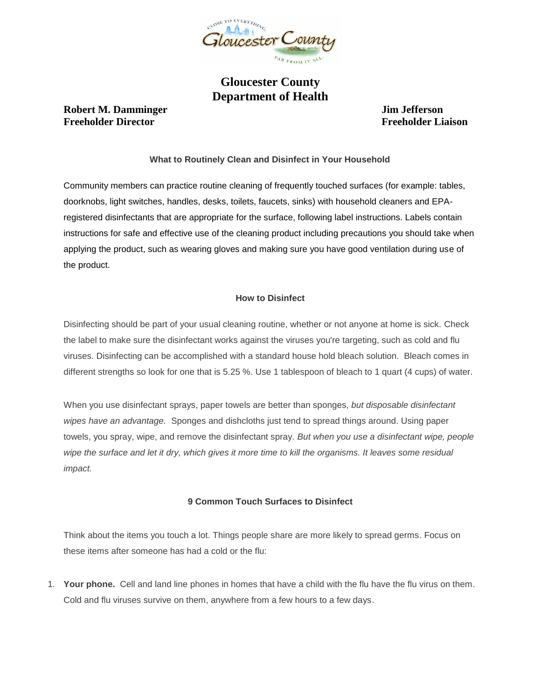

# **Gloucester County Department of Health**

## **Robert M. Damminger State State State State State State State State State State State State State State State State State State State State State State State State State State State State State State State State State Sta Freeholder Director Freeholder Liaison**

### **What to Routinely Clean and Disinfect in Your Household**

Community members can practice routine cleaning of frequently touched surfaces (for example: tables, doorknobs, light switches, handles, desks, toilets, faucets, sinks) with household cleaners and EPAregistered disinfectants that are appropriate for the surface, following label instructions. Labels contain instructions for safe and effective use of the cleaning product including precautions you should take when applying the product, such as wearing gloves and making sure you have good ventilation during use of the product.

#### **How to Disinfect**

Disinfecting should be part of your usual cleaning routine, whether or not anyone at home is sick. Check the label to make sure the disinfectant works against the viruses you're targeting, such as cold and flu viruses. Disinfecting can be accomplished with a standard house hold bleach solution. Bleach comes in different strengths so look for one that is 5.25 %. Use 1 tablespoon of bleach to 1 quart (4 cups) of water.

When you use disinfectant sprays, paper towels are better than sponges, *but disposable disinfectant wipes have an advantage.* Sponges and dishcloths just tend to spread things around. Using paper towels, you spray, wipe, and remove the disinfectant spray. *But when you use a disinfectant wipe, people*  wipe the surface and let it dry, which gives it more time to kill the organisms. It leaves some residual *impact.*

#### **9 Common Touch Surfaces to Disinfect**

Think about the items you touch a lot. Things people share are more likely to spread germs. Focus on these items after someone has had a cold or the flu:

1. **Your phone.** Cell and land line phones in homes that have a child with the flu have the flu virus on them. Cold and flu viruses survive on them, anywhere from a few hours to a few days.